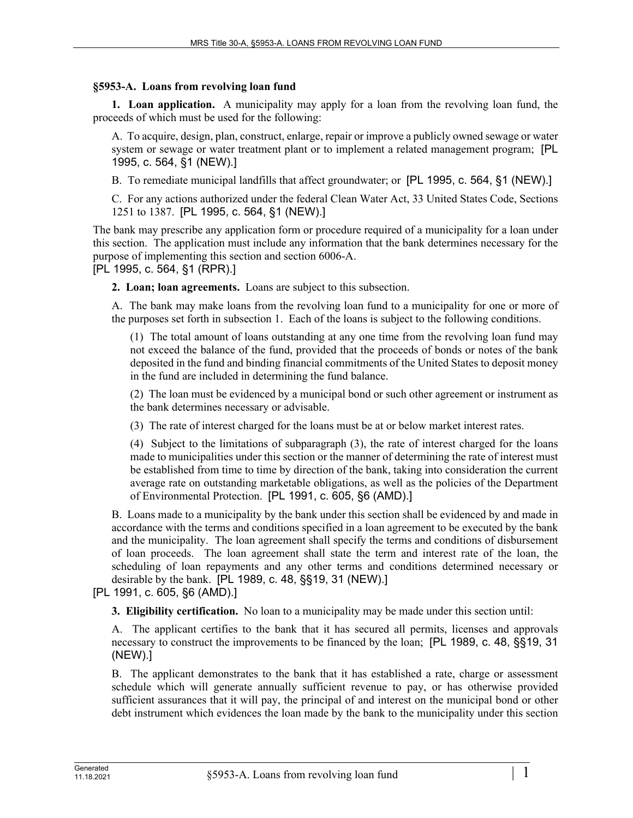## **§5953-A. Loans from revolving loan fund**

**1. Loan application.** A municipality may apply for a loan from the revolving loan fund, the proceeds of which must be used for the following:

A. To acquire, design, plan, construct, enlarge, repair or improve a publicly owned sewage or water system or sewage or water treatment plant or to implement a related management program; [PL 1995, c. 564, §1 (NEW).]

B. To remediate municipal landfills that affect groundwater; or [PL 1995, c. 564, §1 (NEW).]

C. For any actions authorized under the federal Clean Water Act, 33 United States Code, Sections 1251 to 1387. [PL 1995, c. 564, §1 (NEW).]

The bank may prescribe any application form or procedure required of a municipality for a loan under this section. The application must include any information that the bank determines necessary for the purpose of implementing this section and section 6006-A.

[PL 1995, c. 564, §1 (RPR).]

**2. Loan; loan agreements.** Loans are subject to this subsection.

A. The bank may make loans from the revolving loan fund to a municipality for one or more of the purposes set forth in subsection 1. Each of the loans is subject to the following conditions.

(1) The total amount of loans outstanding at any one time from the revolving loan fund may not exceed the balance of the fund, provided that the proceeds of bonds or notes of the bank deposited in the fund and binding financial commitments of the United States to deposit money in the fund are included in determining the fund balance.

(2) The loan must be evidenced by a municipal bond or such other agreement or instrument as the bank determines necessary or advisable.

(3) The rate of interest charged for the loans must be at or below market interest rates.

(4) Subject to the limitations of subparagraph (3), the rate of interest charged for the loans made to municipalities under this section or the manner of determining the rate of interest must be established from time to time by direction of the bank, taking into consideration the current average rate on outstanding marketable obligations, as well as the policies of the Department of Environmental Protection. [PL 1991, c. 605, §6 (AMD).]

B. Loans made to a municipality by the bank under this section shall be evidenced by and made in accordance with the terms and conditions specified in a loan agreement to be executed by the bank and the municipality. The loan agreement shall specify the terms and conditions of disbursement of loan proceeds. The loan agreement shall state the term and interest rate of the loan, the scheduling of loan repayments and any other terms and conditions determined necessary or desirable by the bank. [PL 1989, c. 48, §§19, 31 (NEW).]

[PL 1991, c. 605, §6 (AMD).]

**3. Eligibility certification.** No loan to a municipality may be made under this section until:

A. The applicant certifies to the bank that it has secured all permits, licenses and approvals necessary to construct the improvements to be financed by the loan; [PL 1989, c. 48, §§19, 31 (NEW).]

B. The applicant demonstrates to the bank that it has established a rate, charge or assessment schedule which will generate annually sufficient revenue to pay, or has otherwise provided sufficient assurances that it will pay, the principal of and interest on the municipal bond or other debt instrument which evidences the loan made by the bank to the municipality under this section